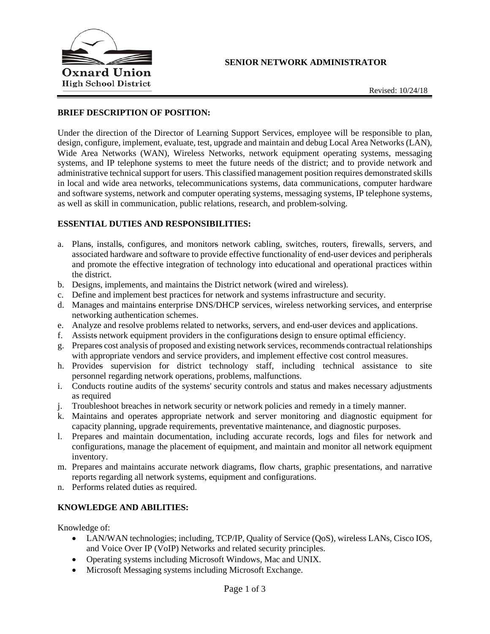### **SENIOR NETWORK ADMINISTRATOR**



# **BRIEF DESCRIPTION OF POSITION:**

Under the direction of the Director of Learning Support Services, employee will be responsible to plan, design, configure, implement, evaluate, test, upgrade and maintain and debug Local Area Networks (LAN), Wide Area Networks (WAN), Wireless Networks, network equipment operating systems, messaging systems, and IP telephone systems to meet the future needs of the district; and to provide network and administrative technical support for users. This classified management position requires demonstrated skills in local and wide area networks, telecommunications systems, data communications, computer hardware and software systems, network and computer operating systems, messaging systems, IP telephone systems, as well as skill in communication, public relations, research, and problem-solving.

# **ESSENTIAL DUTIES AND RESPONSIBILITIES:**

- a. Plans, installs, configures, and monitors network cabling, switches, routers, firewalls, servers, and associated hardware and software to provide effective functionality of end-user devices and peripherals and promote the effective integration of technology into educational and operational practices within the district.
- b. Designs, implements, and maintains the District network (wired and wireless).
- c. Define and implement best practices for network and systems infrastructure and security.
- d. Manages and maintains enterprise DNS/DHCP services, wireless networking services, and enterprise networking authentication schemes.
- e. Analyze and resolve problems related to networks, servers, and end-user devices and applications.
- f. Assists network equipment providers in the configurations design to ensure optimal efficiency.
- g. Prepares cost analysis of proposed and existing network services, recommends contractual relationships with appropriate vendors and service providers, and implement effective cost control measures.
- h. Provides supervision for district technology staff, including technical assistance to site personnel regarding network operations, problems, malfunctions.
- i. Conducts routine audits of the systems' security controls and status and makes necessary adjustments as required
- j. Troubleshoot breaches in network security or network policies and remedy in a timely manner.
- k. Maintains and operates appropriate network and server monitoring and diagnostic equipment for capacity planning, upgrade requirements, preventative maintenance, and diagnostic purposes.
- l. Prepares and maintain documentation, including accurate records, logs and files for network and configurations, manage the placement of equipment, and maintain and monitor all network equipment inventory.
- m. Prepares and maintains accurate network diagrams, flow charts, graphic presentations, and narrative reports regarding all network systems, equipment and configurations.
- n. Performs related duties as required.

# **KNOWLEDGE AND ABILITIES:**

Knowledge of:

- LAN/WAN technologies; including, TCP/IP, Quality of Service (QoS), wireless LANs, Cisco IOS, and Voice Over IP (VoIP) Networks and related security principles.
- Operating systems including Microsoft Windows, Mac and UNIX.
- Microsoft Messaging systems including Microsoft Exchange.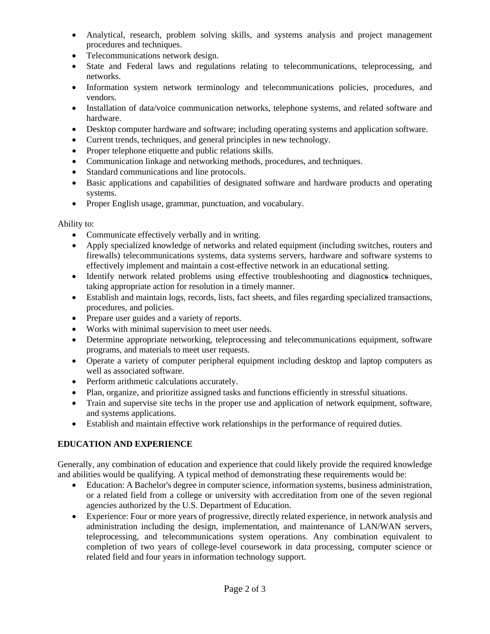- Analytical, research, problem solving skills, and systems analysis and project management procedures and techniques.
- Telecommunications network design.
- State and Federal laws and regulations relating to telecommunications, teleprocessing, and networks.
- Information system network terminology and telecommunications policies, procedures, and vendors.
- Installation of data/voice communication networks, telephone systems, and related software and hardware.
- Desktop computer hardware and software; including operating systems and application software.
- Current trends, techniques, and general principles in new technology.
- Proper telephone etiquette and public relations skills.
- Communication linkage and networking methods, procedures, and techniques.
- Standard communications and line protocols.
- Basic applications and capabilities of designated software and hardware products and operating systems.
- Proper English usage, grammar, punctuation, and vocabulary.

Ability to:

- Communicate effectively verbally and in writing.
- Apply specialized knowledge of networks and related equipment (including switches, routers and firewalls) telecommunications systems, data systems servers, hardware and software systems to effectively implement and maintain a cost-effective network in an educational setting.
- Identify network related problems using effective troubleshooting and diagnostics techniques, taking appropriate action for resolution in a timely manner.
- Establish and maintain logs, records, lists, fact sheets, and files regarding specialized transactions, procedures, and policies.
- Prepare user guides and a variety of reports.
- Works with minimal supervision to meet user needs.
- Determine appropriate networking, teleprocessing and telecommunications equipment, software programs, and materials to meet user requests.
- Operate a variety of computer peripheral equipment including desktop and laptop computers as well as associated software.
- Perform arithmetic calculations accurately.
- Plan, organize, and prioritize assigned tasks and functions efficiently in stressful situations.
- Train and supervise site techs in the proper use and application of network equipment, software, and systems applications.
- Establish and maintain effective work relationships in the performance of required duties.

# **EDUCATION AND EXPERIENCE**

Generally, any combination of education and experience that could likely provide the required knowledge and abilities would be qualifying. A typical method of demonstrating these requirements would be:

- Education: A Bachelor's degree in computer science, information systems, business administration, or a related field from a college or university with accreditation from one of the seven regional agencies authorized by the U.S. Department of Education.
- Experience: Four or more years of progressive, directly related experience, in network analysis and administration including the design, implementation, and maintenance of LAN/WAN servers, teleprocessing, and telecommunications system operations. Any combination equivalent to completion of two years of college-level coursework in data processing, computer science or related field and four years in information technology support.